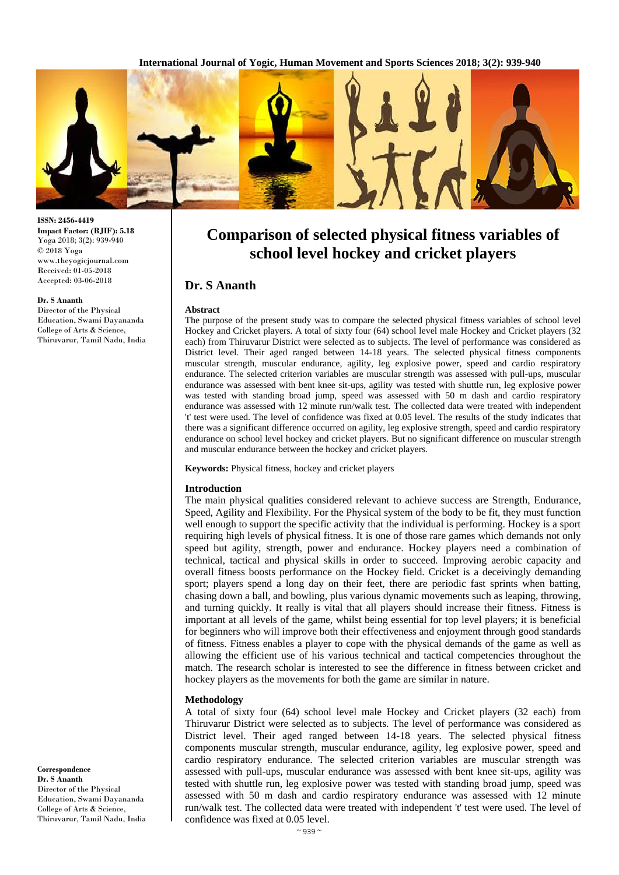**International Journal of Yogic, Human Movement and Sports Sciences 2018; 3(2): 939-940**



**ISSN: 2456-4419 Impact Factor: (RJIF): 5.18** Yoga 2018; 3(2): 939-940 © 2018 Yoga www.theyogicjournal.com Received: 01-05-2018 Accepted: 03-06-2018

#### **Dr. S Ananth**

Director of the Physical Education, Swami Dayananda College of Arts & Science, Thiruvarur, Tamil Nadu, India **Comparison of selected physical fitness variables of school level hockey and cricket players**

# **Dr. S Ananth**

#### **Abstract**

The purpose of the present study was to compare the selected physical fitness variables of school level Hockey and Cricket players. A total of sixty four (64) school level male Hockey and Cricket players (32 each) from Thiruvarur District were selected as to subjects. The level of performance was considered as District level. Their aged ranged between 14-18 years. The selected physical fitness components muscular strength, muscular endurance, agility, leg explosive power, speed and cardio respiratory endurance. The selected criterion variables are muscular strength was assessed with pull-ups, muscular endurance was assessed with bent knee sit-ups, agility was tested with shuttle run, leg explosive power was tested with standing broad jump, speed was assessed with 50 m dash and cardio respiratory endurance was assessed with 12 minute run/walk test. The collected data were treated with independent 't' test were used. The level of confidence was fixed at 0.05 level. The results of the study indicates that there was a significant difference occurred on agility, leg explosive strength, speed and cardio respiratory endurance on school level hockey and cricket players. But no significant difference on muscular strength and muscular endurance between the hockey and cricket players.

**Keywords:** Physical fitness, hockey and cricket players

## **Introduction**

The main physical qualities considered relevant to achieve success are Strength, Endurance, Speed, Agility and Flexibility. For the Physical system of the body to be fit, they must function well enough to support the specific activity that the individual is performing. Hockey is a sport requiring high levels of physical fitness. It is one of those rare games which demands not only speed but agility, strength, power and endurance. Hockey players need a combination of technical, tactical and physical skills in order to succeed. Improving aerobic capacity and overall fitness boosts performance on the Hockey field. Cricket is a deceivingly demanding sport; players spend a long day on their feet, there are periodic fast sprints when batting, chasing down a ball, and bowling, plus various dynamic movements such as leaping, throwing, and turning quickly. It really is vital that all players should increase their fitness. Fitness is important at all levels of the game, whilst being essential for top level players; it is beneficial for beginners who will improve both their effectiveness and enjoyment through good standards of fitness. Fitness enables a player to cope with the physical demands of the game as well as allowing the efficient use of his various technical and tactical competencies throughout the match. The research scholar is interested to see the difference in fitness between cricket and hockey players as the movements for both the game are similar in nature.

#### **Methodology**

A total of sixty four (64) school level male Hockey and Cricket players (32 each) from Thiruvarur District were selected as to subjects. The level of performance was considered as District level. Their aged ranged between 14-18 years. The selected physical fitness components muscular strength, muscular endurance, agility, leg explosive power, speed and cardio respiratory endurance. The selected criterion variables are muscular strength was assessed with pull-ups, muscular endurance was assessed with bent knee sit-ups, agility was tested with shuttle run, leg explosive power was tested with standing broad jump, speed was assessed with 50 m dash and cardio respiratory endurance was assessed with 12 minute run/walk test. The collected data were treated with independent 't' test were used. The level of confidence was fixed at 0.05 level.

**Correspondence Dr. S Ananth** Director of the Physical Education, Swami Dayananda College of Arts & Science, Thiruvarur, Tamil Nadu, India